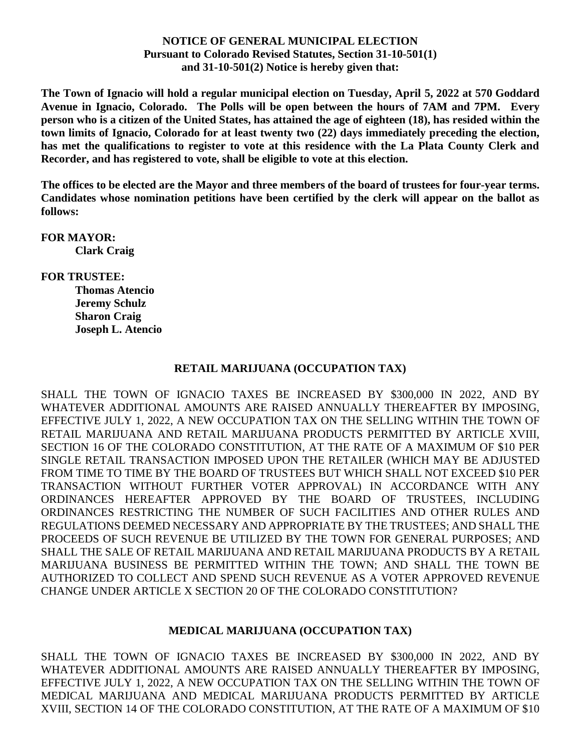## **NOTICE OF GENERAL MUNICIPAL ELECTION Pursuant to Colorado Revised Statutes, Section 31-10-501(1) and 31-10-501(2) Notice is hereby given that:**

**The Town of Ignacio will hold a regular municipal election on Tuesday, April 5, 2022 at 570 Goddard Avenue in Ignacio, Colorado. The Polls will be open between the hours of 7AM and 7PM. Every person who is a citizen of the United States, has attained the age of eighteen (18), has resided within the town limits of Ignacio, Colorado for at least twenty two (22) days immediately preceding the election, has met the qualifications to register to vote at this residence with the La Plata County Clerk and Recorder, and has registered to vote, shall be eligible to vote at this election.**

**The offices to be elected are the Mayor and three members of the board of trustees for four-year terms. Candidates whose nomination petitions have been certified by the clerk will appear on the ballot as follows:**

**FOR MAYOR: Clark Craig**

**FOR TRUSTEE:**

**Thomas Atencio Jeremy Schulz Sharon Craig Joseph L. Atencio**

## **RETAIL MARIJUANA (OCCUPATION TAX)**

SHALL THE TOWN OF IGNACIO TAXES BE INCREASED BY \$300,000 IN 2022, AND BY WHATEVER ADDITIONAL AMOUNTS ARE RAISED ANNUALLY THEREAFTER BY IMPOSING, EFFECTIVE JULY 1, 2022, A NEW OCCUPATION TAX ON THE SELLING WITHIN THE TOWN OF RETAIL MARIJUANA AND RETAIL MARIJUANA PRODUCTS PERMITTED BY ARTICLE XVIII, SECTION 16 OF THE COLORADO CONSTITUTION, AT THE RATE OF A MAXIMUM OF \$10 PER SINGLE RETAIL TRANSACTION IMPOSED UPON THE RETAILER (WHICH MAY BE ADJUSTED FROM TIME TO TIME BY THE BOARD OF TRUSTEES BUT WHICH SHALL NOT EXCEED \$10 PER TRANSACTION WITHOUT FURTHER VOTER APPROVAL) IN ACCORDANCE WITH ANY ORDINANCES HEREAFTER APPROVED BY THE BOARD OF TRUSTEES, INCLUDING ORDINANCES RESTRICTING THE NUMBER OF SUCH FACILITIES AND OTHER RULES AND REGULATIONS DEEMED NECESSARY AND APPROPRIATE BY THE TRUSTEES; AND SHALL THE PROCEEDS OF SUCH REVENUE BE UTILIZED BY THE TOWN FOR GENERAL PURPOSES; AND SHALL THE SALE OF RETAIL MARIJUANA AND RETAIL MARIJUANA PRODUCTS BY A RETAIL MARIJUANA BUSINESS BE PERMITTED WITHIN THE TOWN; AND SHALL THE TOWN BE AUTHORIZED TO COLLECT AND SPEND SUCH REVENUE AS A VOTER APPROVED REVENUE CHANGE UNDER ARTICLE X SECTION 20 OF THE COLORADO CONSTITUTION?

## **MEDICAL MARIJUANA (OCCUPATION TAX)**

SHALL THE TOWN OF IGNACIO TAXES BE INCREASED BY \$300,000 IN 2022, AND BY WHATEVER ADDITIONAL AMOUNTS ARE RAISED ANNUALLY THEREAFTER BY IMPOSING, EFFECTIVE JULY 1, 2022, A NEW OCCUPATION TAX ON THE SELLING WITHIN THE TOWN OF MEDICAL MARIJUANA AND MEDICAL MARIJUANA PRODUCTS PERMITTED BY ARTICLE XVIII, SECTION 14 OF THE COLORADO CONSTITUTION, AT THE RATE OF A MAXIMUM OF \$10